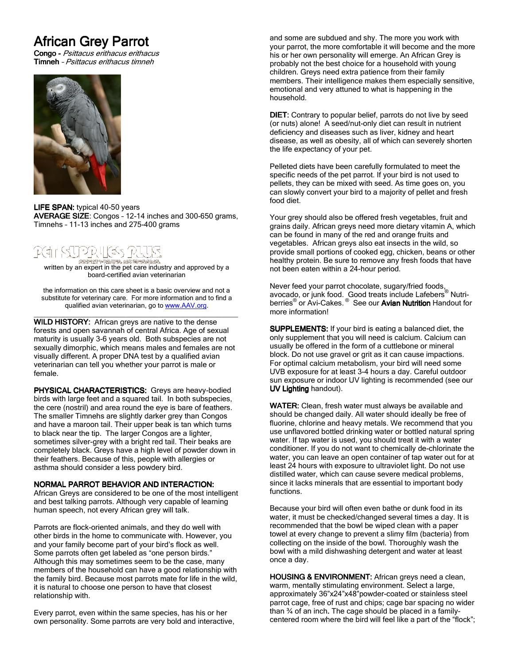# **African Grey Parrot**

Congo - Psittacus erithacus erithacus Timneh – Psittacus erithacus timneh



LIFE SPAN: typical 40-50 years AVERAGE SIZE: Congos - 12-14 inches and 300-650 grams, Timnehs – 11-13 inches and 275-400 grams

written by an expert in the pet care industry and approved by a<br>written by an expert in the pet care industry and approved by a board-certified avian veterinarian

the information on this care sheet is a basic overview and not a substitute for veterinary care. For more information and to find a qualified avian veterinarian, go to www.AAV.org.

\_\_\_\_\_\_\_\_\_\_\_\_\_\_\_\_\_\_\_\_\_\_\_\_\_\_\_\_\_\_\_\_\_\_\_\_\_\_\_\_\_\_\_\_\_\_\_\_\_ WILD HISTORY: African greys are native to the dense forests and open savannah of central Africa. Age of sexual maturity is usually 3-6 years old. Both subspecies are not sexually dimorphic, which means males and females are not visually different. A proper DNA test by a qualified avian veterinarian can tell you whether your parrot is male or female.

PHYSICAL CHARACTERISTICS: Greys are heavy-bodied birds with large feet and a squared tail. In both subspecies, the cere (nostril) and area round the eye is bare of feathers. The smaller Timnehs are slightly darker grey than Congos and have a maroon tail. Their upper beak is tan which turns to black near the tip. The larger Congos are a lighter, sometimes silver-grey with a bright red tail. Their beaks are completely black. Greys have a high level of powder down in their feathers. Because of this, people with allergies or asthma should consider a less powdery bird.

## NORMAL PARROT BEHAVIOR AND INTERACTION:

African Greys are considered to be one of the most intelligent and best talking parrots. Although very capable of learning human speech, not every African grey will talk.

Parrots are flock-oriented animals, and they do well with other birds in the home to communicate with. However, you and your family become part of your bird's flock as well. Some parrots often get labeled as "one person birds." Although this may sometimes seem to be the case, many members of the household can have a good relationship with the family bird. Because most parrots mate for life in the wild, it is natural to choose one person to have that closest relationship with.

Every parrot, even within the same species, has his or her own personality. Some parrots are very bold and interactive, and some are subdued and shy. The more you work with your parrot, the more comfortable it will become and the more his or her own personality will emerge. An African Grey is probably not the best choice for a household with young children. Greys need extra patience from their family members. Their intelligence makes them especially sensitive, emotional and very attuned to what is happening in the household.

DIET: Contrary to popular belief, parrots do not live by seed (or nuts) alone! A seed/nut-only diet can result in nutrient deficiency and diseases such as liver, kidney and heart disease, as well as obesity, all of which can severely shorten the life expectancy of your pet.

Pelleted diets have been carefully formulated to meet the specific needs of the pet parrot. If your bird is not used to pellets, they can be mixed with seed. As time goes on, you can slowly convert your bird to a majority of pellet and fresh food diet.

Your grey should also be offered fresh vegetables, fruit and grains daily. African greys need more dietary vitamin A, which can be found in many of the red and orange fruits and vegetables. African greys also eat insects in the wild, so provide small portions of cooked egg, chicken, beans or other healthy protein. Be sure to remove any fresh foods that have not been eaten within a 24-hour period.

Never feed your parrot chocolate, sugary/fried foods, avocado, or junk food. Good treats include Lafebers® Nutriberries<sup>®</sup> or Avi-Cakes.<sup>®</sup> See our Avian Nutrition Handout for more information!

SUPPLEMENTS: If your bird is eating a balanced diet, the only supplement that you will need is calcium. Calcium can usually be offered in the form of a cuttlebone or mineral block. Do not use gravel or grit as it can cause impactions. For optimal calcium metabolism, your bird will need some UVB exposure for at least 3-4 hours a day. Careful outdoor sun exposure or indoor UV lighting is recommended (see our UV Lighting handout).

WATER: Clean, fresh water must always be available and should be changed daily. All water should ideally be free of fluorine, chlorine and heavy metals. We recommend that you use unflavored bottled drinking water or bottled natural spring water. If tap water is used, you should treat it with a water conditioner. If you do not want to chemically de-chlorinate the water, you can leave an open container of tap water out for at least 24 hours with exposure to ultraviolet light. Do not use distilled water, which can cause severe medical problems, since it lacks minerals that are essential to important body functions.

Because your bird will often even bathe or dunk food in its water, it must be checked/changed several times a day. It is recommended that the bowl be wiped clean with a paper towel at every change to prevent a slimy film (bacteria) from collecting on the inside of the bowl. Thoroughly wash the bowl with a mild dishwashing detergent and water at least once a day.

HOUSING & ENVIRONMENT: African greys need a clean, warm, mentally stimulating environment. Select a large, approximately 36"x24"x48"powder-coated or stainless steel parrot cage, free of rust and chips; cage bar spacing no wider than 34 of an inch. The cage should be placed in a familycentered room where the bird will feel like a part of the "flock";